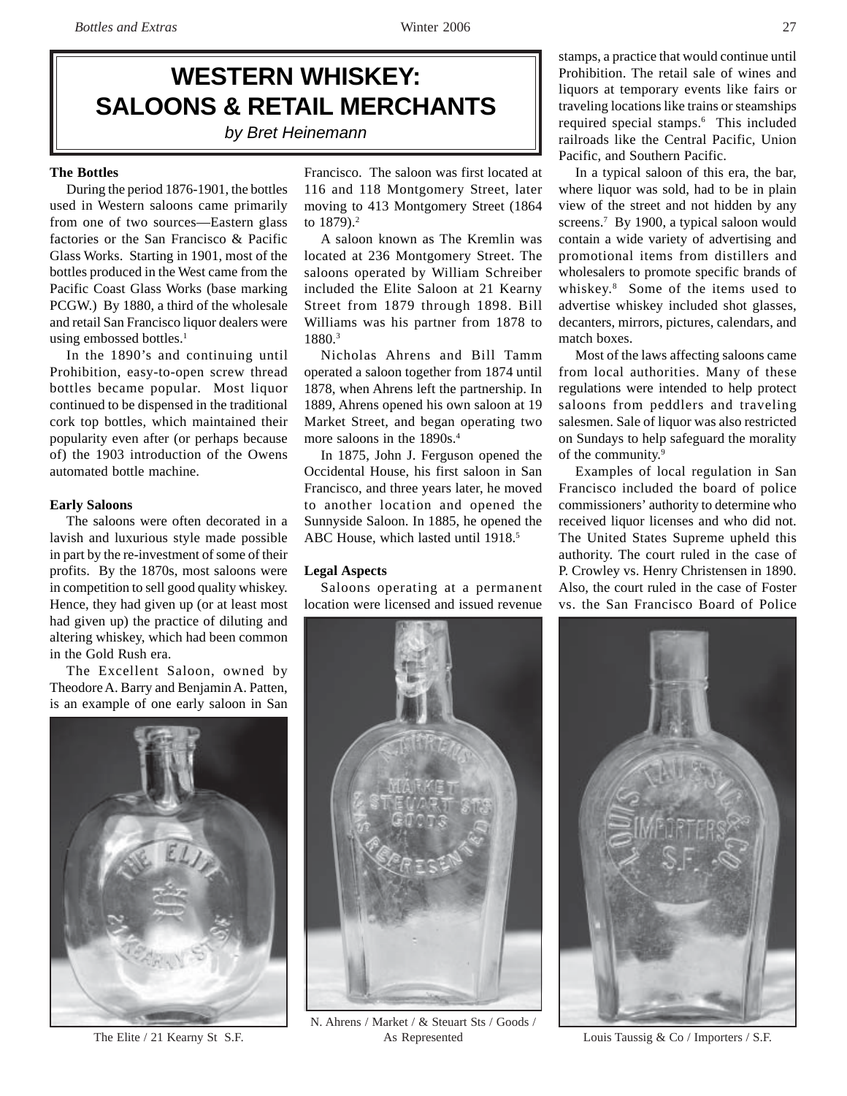# **WESTERN WHISKEY: SALOONS & RETAIL MERCHANTS** *by Bret Heinemann*

## **The Bottles**

During the period 1876-1901, the bottles used in Western saloons came primarily from one of two sources—Eastern glass factories or the San Francisco & Pacific Glass Works. Starting in 1901, most of the bottles produced in the West came from the Pacific Coast Glass Works (base marking PCGW.) By 1880, a third of the wholesale and retail San Francisco liquor dealers were using embossed bottles.<sup>1</sup>

In the 1890's and continuing until Prohibition, easy-to-open screw thread bottles became popular. Most liquor continued to be dispensed in the traditional cork top bottles, which maintained their popularity even after (or perhaps because of) the 1903 introduction of the Owens automated bottle machine.

#### **Early Saloons**

The saloons were often decorated in a lavish and luxurious style made possible in part by the re-investment of some of their profits. By the 1870s, most saloons were in competition to sell good quality whiskey. Hence, they had given up (or at least most had given up) the practice of diluting and altering whiskey, which had been common in the Gold Rush era.

The Excellent Saloon, owned by Theodore A. Barry and Benjamin A. Patten, is an example of one early saloon in San



Francisco. The saloon was first located at 116 and 118 Montgomery Street, later moving to 413 Montgomery Street (1864 to 1879).<sup>2</sup>

A saloon known as The Kremlin was located at 236 Montgomery Street. The saloons operated by William Schreiber included the Elite Saloon at 21 Kearny Street from 1879 through 1898. Bill Williams was his partner from 1878 to 1880.3

Nicholas Ahrens and Bill Tamm operated a saloon together from 1874 until 1878, when Ahrens left the partnership. In 1889, Ahrens opened his own saloon at 19 Market Street, and began operating two more saloons in the 1890s.<sup>4</sup>

In 1875, John J. Ferguson opened the Occidental House, his first saloon in San Francisco, and three years later, he moved to another location and opened the Sunnyside Saloon. In 1885, he opened the ABC House, which lasted until 1918.<sup>5</sup>

#### **Legal Aspects**

Saloons operating at a permanent location were licensed and issued revenue



N. Ahrens / Market / & Steuart Sts / Goods / The Elite / 21 Kearny St S.F. As Represented Louis Taussig & Co / Importers / S.F.

stamps, a practice that would continue until Prohibition. The retail sale of wines and liquors at temporary events like fairs or traveling locations like trains or steamships required special stamps.6 This included railroads like the Central Pacific, Union Pacific, and Southern Pacific.

In a typical saloon of this era, the bar, where liquor was sold, had to be in plain view of the street and not hidden by any screens.<sup>7</sup> By 1900, a typical saloon would contain a wide variety of advertising and promotional items from distillers and wholesalers to promote specific brands of whiskey.8 Some of the items used to advertise whiskey included shot glasses, decanters, mirrors, pictures, calendars, and match boxes.

Most of the laws affecting saloons came from local authorities. Many of these regulations were intended to help protect saloons from peddlers and traveling salesmen. Sale of liquor was also restricted on Sundays to help safeguard the morality of the community.<sup>9</sup>

Examples of local regulation in San Francisco included the board of police commissioners' authority to determine who received liquor licenses and who did not. The United States Supreme upheld this authority. The court ruled in the case of P. Crowley vs. Henry Christensen in 1890. Also, the court ruled in the case of Foster vs. the San Francisco Board of Police

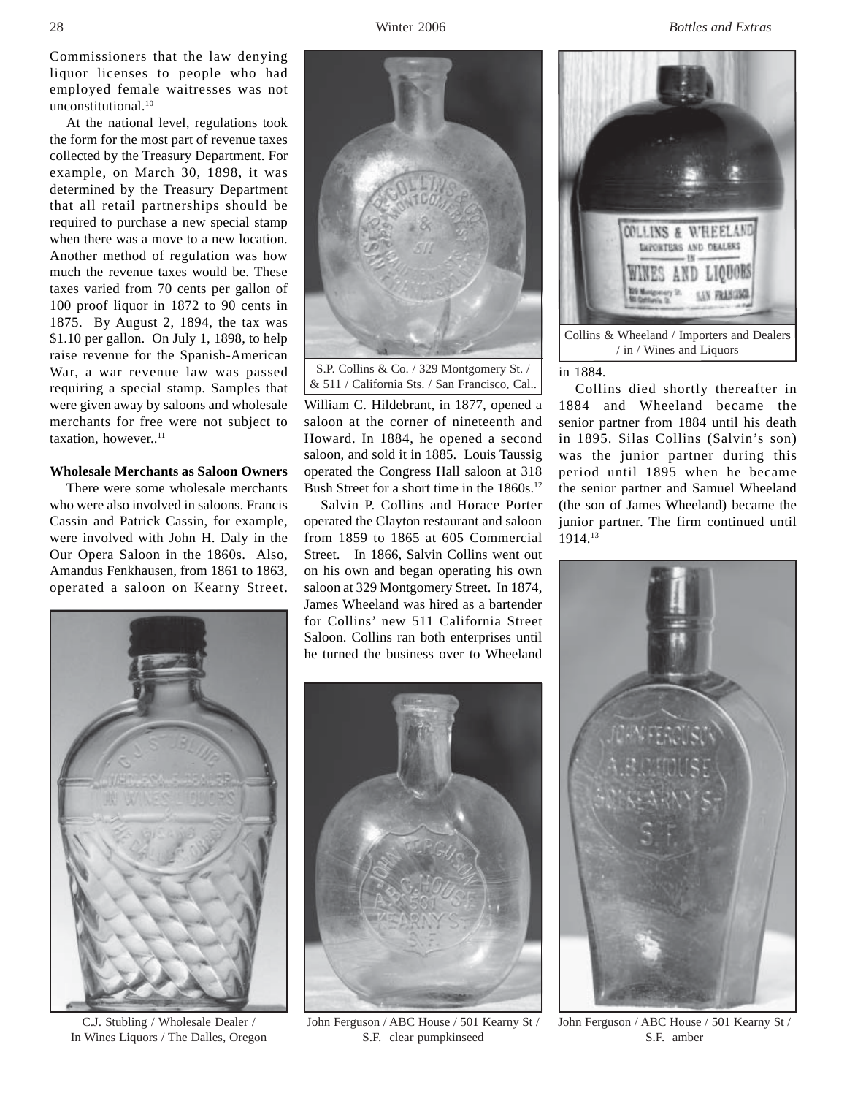28 Winter 2006 *Bottles and Extras*

Commissioners that the law denying liquor licenses to people who had employed female waitresses was not unconstitutional.<sup>10</sup>

At the national level, regulations took the form for the most part of revenue taxes collected by the Treasury Department. For example, on March 30, 1898, it was determined by the Treasury Department that all retail partnerships should be required to purchase a new special stamp when there was a move to a new location. Another method of regulation was how much the revenue taxes would be. These taxes varied from 70 cents per gallon of 100 proof liquor in 1872 to 90 cents in 1875. By August 2, 1894, the tax was \$1.10 per gallon. On July 1, 1898, to help raise revenue for the Spanish-American War, a war revenue law was passed requiring a special stamp. Samples that were given away by saloons and wholesale merchants for free were not subject to taxation, however..<sup>11</sup>

### **Wholesale Merchants as Saloon Owners**

There were some wholesale merchants who were also involved in saloons. Francis Cassin and Patrick Cassin, for example, were involved with John H. Daly in the Our Opera Saloon in the 1860s. Also, Amandus Fenkhausen, from 1861 to 1863, operated a saloon on Kearny Street.



C.J. Stubling / Wholesale Dealer / In Wines Liquors / The Dalles, Oregon



& 511 / California Sts. / San Francisco, Cal..

William C. Hildebrant, in 1877, opened a saloon at the corner of nineteenth and Howard. In 1884, he opened a second saloon, and sold it in 1885. Louis Taussig operated the Congress Hall saloon at 318 Bush Street for a short time in the 1860s.<sup>12</sup>

Salvin P. Collins and Horace Porter operated the Clayton restaurant and saloon from 1859 to 1865 at 605 Commercial Street. In 1866, Salvin Collins went out on his own and began operating his own saloon at 329 Montgomery Street. In 1874, James Wheeland was hired as a bartender for Collins' new 511 California Street Saloon. Collins ran both enterprises until he turned the business over to Wheeland



John Ferguson / ABC House / 501 Kearny St / S.F. clear pumpkinseed



## in 1884.

Collins died shortly thereafter in 1884 and Wheeland became the senior partner from 1884 until his death in 1895. Silas Collins (Salvin's son) was the junior partner during this period until 1895 when he became the senior partner and Samuel Wheeland (the son of James Wheeland) became the junior partner. The firm continued until 1914.13



John Ferguson / ABC House / 501 Kearny St / S.F. amber